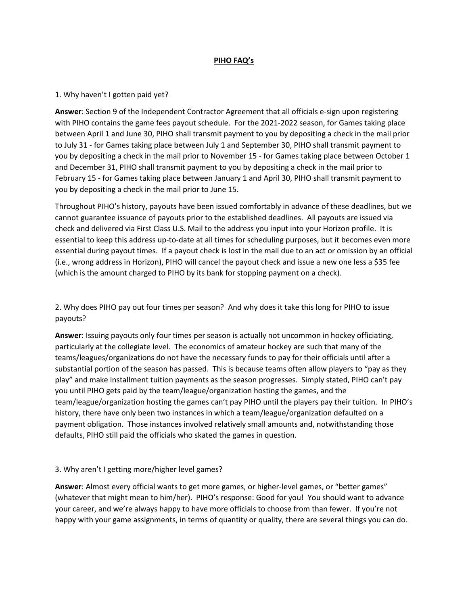#### **PIHO FAQ's**

#### 1. Why haven't I gotten paid yet?

**Answer**: Section 9 of the Independent Contractor Agreement that all officials e-sign upon registering with PIHO contains the game fees payout schedule. For the 2021-2022 season, for Games taking place between April 1 and June 30, PIHO shall transmit payment to you by depositing a check in the mail prior to July 31 - for Games taking place between July 1 and September 30, PIHO shall transmit payment to you by depositing a check in the mail prior to November 15 - for Games taking place between October 1 and December 31, PIHO shall transmit payment to you by depositing a check in the mail prior to February 15 - for Games taking place between January 1 and April 30, PIHO shall transmit payment to you by depositing a check in the mail prior to June 15.

Throughout PIHO's history, payouts have been issued comfortably in advance of these deadlines, but we cannot guarantee issuance of payouts prior to the established deadlines. All payouts are issued via check and delivered via First Class U.S. Mail to the address you input into your Horizon profile. It is essential to keep this address up-to-date at all times for scheduling purposes, but it becomes even more essential during payout times. If a payout check is lost in the mail due to an act or omission by an official (i.e., wrong address in Horizon), PIHO will cancel the payout check and issue a new one less a \$35 fee (which is the amount charged to PIHO by its bank for stopping payment on a check).

2. Why does PIHO pay out four times per season? And why does it take this long for PIHO to issue payouts?

**Answer**: Issuing payouts only four times per season is actually not uncommon in hockey officiating, particularly at the collegiate level. The economics of amateur hockey are such that many of the teams/leagues/organizations do not have the necessary funds to pay for their officials until after a substantial portion of the season has passed. This is because teams often allow players to "pay as they play" and make installment tuition payments as the season progresses. Simply stated, PIHO can't pay you until PIHO gets paid by the team/league/organization hosting the games, and the team/league/organization hosting the games can't pay PIHO until the players pay their tuition. In PIHO's history, there have only been two instances in which a team/league/organization defaulted on a payment obligation. Those instances involved relatively small amounts and, notwithstanding those defaults, PIHO still paid the officials who skated the games in question.

#### 3. Why aren't I getting more/higher level games?

**Answer**: Almost every official wants to get more games, or higher-level games, or "better games" (whatever that might mean to him/her). PIHO's response: Good for you! You should want to advance your career, and we're always happy to have more officials to choose from than fewer. If you're not happy with your game assignments, in terms of quantity or quality, there are several things you can do.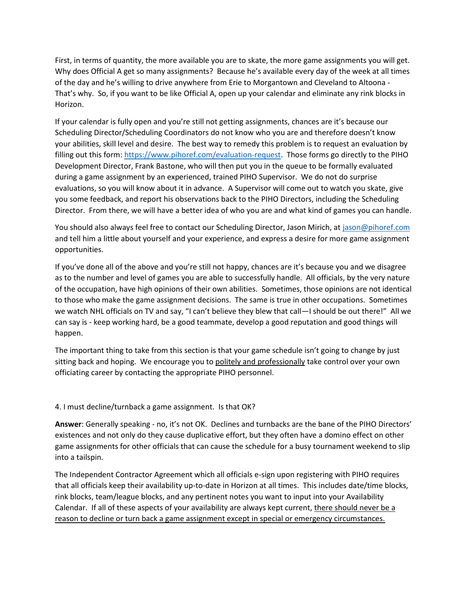First, in terms of quantity, the more available you are to skate, the more game assignments you will get. Why does Official A get so many assignments? Because he's available every day of the week at all times of the day and he's willing to drive anywhere from Erie to Morgantown and Cleveland to Altoona - That's why. So, if you want to be like Official A, open up your calendar and eliminate any rink blocks in Horizon.

If your calendar is fully open and you're still not getting assignments, chances are it's because our Scheduling Director/Scheduling Coordinators do not know who you are and therefore doesn't know your abilities, skill level and desire. The best way to remedy this problem is to request an evaluation by filling out this form[: https://www.pihoref.com/evaluation-request.](https://www.pihoref.com/evaluation-request) Those forms go directly to the PIHO Development Director, Frank Bastone, who will then put you in the queue to be formally evaluated during a game assignment by an experienced, trained PIHO Supervisor. We do not do surprise evaluations, so you will know about it in advance. A Supervisor will come out to watch you skate, give you some feedback, and report his observations back to the PIHO Directors, including the Scheduling Director. From there, we will have a better idea of who you are and what kind of games you can handle.

You should also always feel free to contact our Scheduling Director, Jason Mirich, at [jason@pihoref.com](mailto:jason@pihoref.com) and tell him a little about yourself and your experience, and express a desire for more game assignment opportunities.

If you've done all of the above and you're still not happy, chances are it's because you and we disagree as to the number and level of games you are able to successfully handle. All officials, by the very nature of the occupation, have high opinions of their own abilities. Sometimes, those opinions are not identical to those who make the game assignment decisions. The same is true in other occupations. Sometimes we watch NHL officials on TV and say, "I can't believe they blew that call—I should be out there!" All we can say is - keep working hard, be a good teammate, develop a good reputation and good things will happen.

The important thing to take from this section is that your game schedule isn't going to change by just sitting back and hoping. We encourage you to politely and professionally take control over your own officiating career by contacting the appropriate PIHO personnel.

#### 4. I must decline/turnback a game assignment. Is that OK?

**Answer**: Generally speaking - no, it's not OK. Declines and turnbacks are the bane of the PIHO Directors' existences and not only do they cause duplicative effort, but they often have a domino effect on other game assignments for other officials that can cause the schedule for a busy tournament weekend to slip into a tailspin.

The Independent Contractor Agreement which all officials e-sign upon registering with PIHO requires that all officials keep their availability up-to-date in Horizon at all times. This includes date/time blocks, rink blocks, team/league blocks, and any pertinent notes you want to input into your Availability Calendar. If all of these aspects of your availability are always kept current, there should never be a reason to decline or turn back a game assignment except in special or emergency circumstances.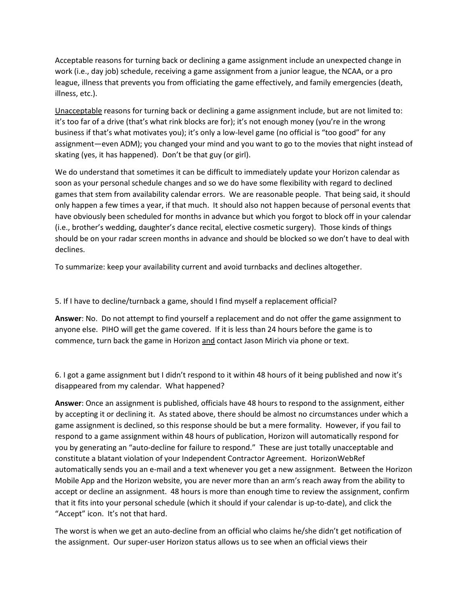Acceptable reasons for turning back or declining a game assignment include an unexpected change in work (i.e., day job) schedule, receiving a game assignment from a junior league, the NCAA, or a pro league, illness that prevents you from officiating the game effectively, and family emergencies (death, illness, etc.).

Unacceptable reasons for turning back or declining a game assignment include, but are not limited to: it's too far of a drive (that's what rink blocks are for); it's not enough money (you're in the wrong business if that's what motivates you); it's only a low-level game (no official is "too good" for any assignment—even ADM); you changed your mind and you want to go to the movies that night instead of skating (yes, it has happened). Don't be that guy (or girl).

We do understand that sometimes it can be difficult to immediately update your Horizon calendar as soon as your personal schedule changes and so we do have some flexibility with regard to declined games that stem from availability calendar errors. We are reasonable people. That being said, it should only happen a few times a year, if that much. It should also not happen because of personal events that have obviously been scheduled for months in advance but which you forgot to block off in your calendar (i.e., brother's wedding, daughter's dance recital, elective cosmetic surgery). Those kinds of things should be on your radar screen months in advance and should be blocked so we don't have to deal with declines.

To summarize: keep your availability current and avoid turnbacks and declines altogether.

5. If I have to decline/turnback a game, should I find myself a replacement official?

**Answer**: No. Do not attempt to find yourself a replacement and do not offer the game assignment to anyone else. PIHO will get the game covered. If it is less than 24 hours before the game is to commence, turn back the game in Horizon and contact Jason Mirich via phone or text.

6. I got a game assignment but I didn't respond to it within 48 hours of it being published and now it's disappeared from my calendar. What happened?

**Answer**: Once an assignment is published, officials have 48 hours to respond to the assignment, either by accepting it or declining it. As stated above, there should be almost no circumstances under which a game assignment is declined, so this response should be but a mere formality. However, if you fail to respond to a game assignment within 48 hours of publication, Horizon will automatically respond for you by generating an "auto-decline for failure to respond." These are just totally unacceptable and constitute a blatant violation of your Independent Contractor Agreement. HorizonWebRef automatically sends you an e-mail and a text whenever you get a new assignment. Between the Horizon Mobile App and the Horizon website, you are never more than an arm's reach away from the ability to accept or decline an assignment. 48 hours is more than enough time to review the assignment, confirm that it fits into your personal schedule (which it should if your calendar is up-to-date), and click the "Accept" icon. It's not that hard.

The worst is when we get an auto-decline from an official who claims he/she didn't get notification of the assignment. Our super-user Horizon status allows us to see when an official views their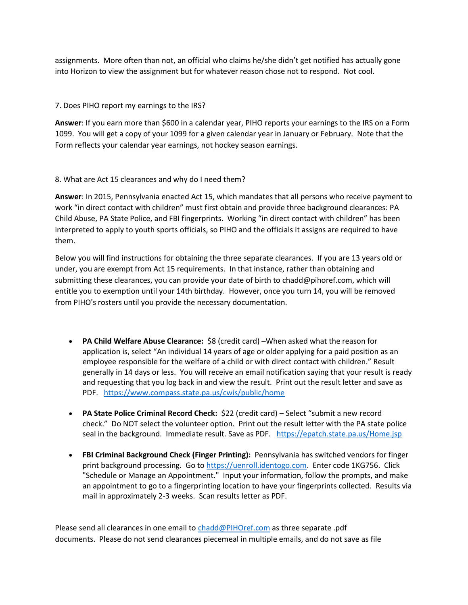assignments. More often than not, an official who claims he/she didn't get notified has actually gone into Horizon to view the assignment but for whatever reason chose not to respond. Not cool.

## 7. Does PIHO report my earnings to the IRS?

**Answer**: If you earn more than \$600 in a calendar year, PIHO reports your earnings to the IRS on a Form 1099. You will get a copy of your 1099 for a given calendar year in January or February. Note that the Form reflects your calendar year earnings, not hockey season earnings.

## 8. What are Act 15 clearances and why do I need them?

**Answer**: In 2015, Pennsylvania enacted Act 15, which mandates that all persons who receive payment to work "in direct contact with children" must first obtain and provide three background clearances: PA Child Abuse, PA State Police, and FBI fingerprints. Working "in direct contact with children" has been interpreted to apply to youth sports officials, so PIHO and the officials it assigns are required to have them.

Below you will find instructions for obtaining the three separate clearances. If you are 13 years old or under, you are exempt from Act 15 requirements. In that instance, rather than obtaining and submitting these clearances, you can provide your date of birth to chadd@pihoref.com, which will entitle you to exemption until your 14th birthday. However, once you turn 14, you will be removed from PIHO's rosters until you provide the necessary documentation.

- **PA Child Welfare Abuse Clearance:** \$8 (credit card) –When asked what the reason for application is, select "An individual 14 years of age or older applying for a paid position as an employee responsible for the welfare of a child or with direct contact with children." Result generally in 14 days or less. You will receive an email notification saying that your result is ready and requesting that you log back in and view the result. Print out the result letter and save as PDF. <https://www.compass.state.pa.us/cwis/public/home>
- **PA State Police Criminal Record Check:** \$22 (credit card) Select "submit a new record check." Do NOT select the volunteer option. Print out the result letter with the PA state police seal in the background. Immediate result. Save as PDF. <https://epatch.state.pa.us/Home.jsp>
- **FBI Criminal Background Check (Finger Printing):** Pennsylvania has switched vendors for finger print background processing. Go to [https://uenroll.identogo.com.](https://uenroll.identogo.com/) Enter code 1KG756. Click "Schedule or Manage an Appointment." Input your information, follow the prompts, and make an appointment to go to a fingerprinting location to have your fingerprints collected. Results via mail in approximately 2-3 weeks. Scan results letter as PDF.

Please send all clearances in one email to [chadd@PIHOref.com](mailto:chadd@PIHOref.com) as three separate .pdf documents. Please do not send clearances piecemeal in multiple emails, and do not save as file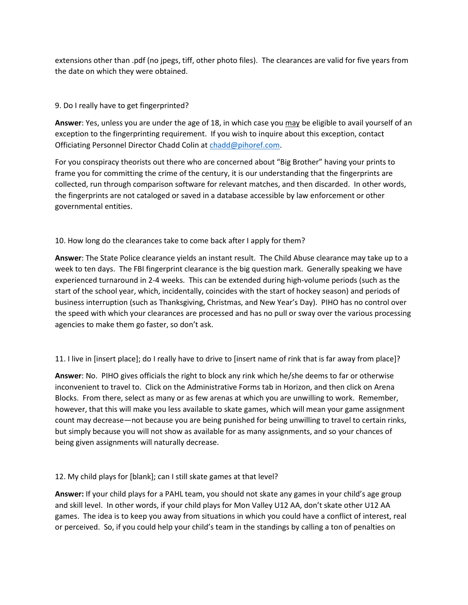extensions other than .pdf (no jpegs, tiff, other photo files). The clearances are valid for five years from the date on which they were obtained.

# 9. Do I really have to get fingerprinted?

**Answer**: Yes, unless you are under the age of 18, in which case you may be eligible to avail yourself of an exception to the fingerprinting requirement. If you wish to inquire about this exception, contact Officiating Personnel Director Chadd Colin at [chadd@pihoref.com.](mailto:chadd@pihoref.com)

For you conspiracy theorists out there who are concerned about "Big Brother" having your prints to frame you for committing the crime of the century, it is our understanding that the fingerprints are collected, run through comparison software for relevant matches, and then discarded. In other words, the fingerprints are not cataloged or saved in a database accessible by law enforcement or other governmental entities.

10. How long do the clearances take to come back after I apply for them?

**Answer**: The State Police clearance yields an instant result. The Child Abuse clearance may take up to a week to ten days. The FBI fingerprint clearance is the big question mark. Generally speaking we have experienced turnaround in 2-4 weeks. This can be extended during high-volume periods (such as the start of the school year, which, incidentally, coincides with the start of hockey season) and periods of business interruption (such as Thanksgiving, Christmas, and New Year's Day). PIHO has no control over the speed with which your clearances are processed and has no pull or sway over the various processing agencies to make them go faster, so don't ask.

11. I live in [insert place]; do I really have to drive to [insert name of rink that is far away from place]?

**Answer**: No. PIHO gives officials the right to block any rink which he/she deems to far or otherwise inconvenient to travel to. Click on the Administrative Forms tab in Horizon, and then click on Arena Blocks. From there, select as many or as few arenas at which you are unwilling to work. Remember, however, that this will make you less available to skate games, which will mean your game assignment count may decrease—not because you are being punished for being unwilling to travel to certain rinks, but simply because you will not show as available for as many assignments, and so your chances of being given assignments will naturally decrease.

12. My child plays for [blank]; can I still skate games at that level?

**Answer:** If your child plays for a PAHL team, you should not skate any games in your child's age group and skill level. In other words, if your child plays for Mon Valley U12 AA, don't skate other U12 AA games. The idea is to keep you away from situations in which you could have a conflict of interest, real or perceived. So, if you could help your child's team in the standings by calling a ton of penalties on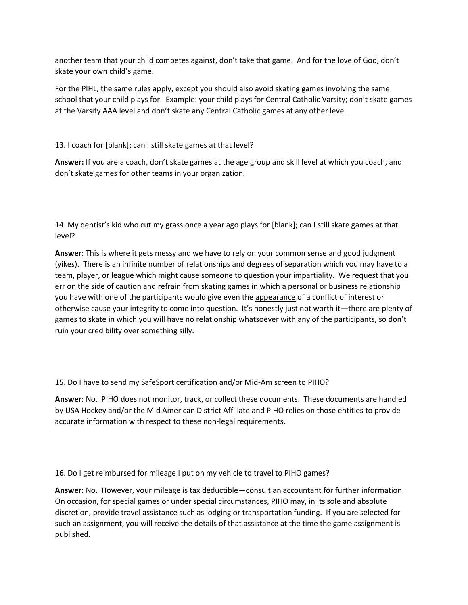another team that your child competes against, don't take that game. And for the love of God, don't skate your own child's game.

For the PIHL, the same rules apply, except you should also avoid skating games involving the same school that your child plays for. Example: your child plays for Central Catholic Varsity; don't skate games at the Varsity AAA level and don't skate any Central Catholic games at any other level.

13. I coach for [blank]; can I still skate games at that level?

**Answer:** If you are a coach, don't skate games at the age group and skill level at which you coach, and don't skate games for other teams in your organization.

14. My dentist's kid who cut my grass once a year ago plays for [blank]; can I still skate games at that level?

**Answer**: This is where it gets messy and we have to rely on your common sense and good judgment (yikes). There is an infinite number of relationships and degrees of separation which you may have to a team, player, or league which might cause someone to question your impartiality. We request that you err on the side of caution and refrain from skating games in which a personal or business relationship you have with one of the participants would give even the appearance of a conflict of interest or otherwise cause your integrity to come into question. It's honestly just not worth it—there are plenty of games to skate in which you will have no relationship whatsoever with any of the participants, so don't ruin your credibility over something silly.

15. Do I have to send my SafeSport certification and/or Mid-Am screen to PIHO?

**Answer**: No. PIHO does not monitor, track, or collect these documents. These documents are handled by USA Hockey and/or the Mid American District Affiliate and PIHO relies on those entities to provide accurate information with respect to these non-legal requirements.

16. Do I get reimbursed for mileage I put on my vehicle to travel to PIHO games?

**Answer**: No. However, your mileage is tax deductible—consult an accountant for further information. On occasion, for special games or under special circumstances, PIHO may, in its sole and absolute discretion, provide travel assistance such as lodging or transportation funding. If you are selected for such an assignment, you will receive the details of that assistance at the time the game assignment is published.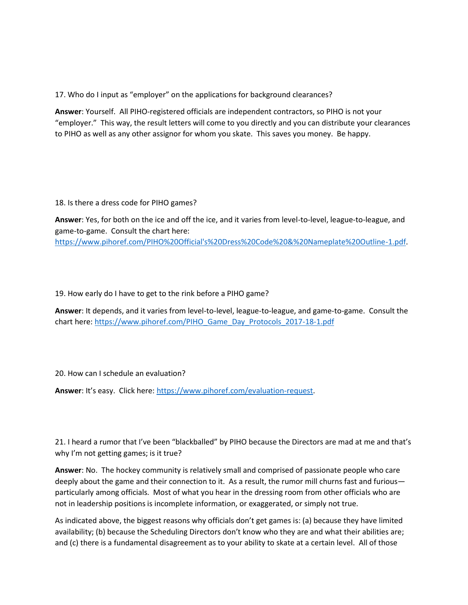17. Who do I input as "employer" on the applications for background clearances?

**Answer**: Yourself. All PIHO-registered officials are independent contractors, so PIHO is not your "employer." This way, the result letters will come to you directly and you can distribute your clearances to PIHO as well as any other assignor for whom you skate. This saves you money. Be happy.

18. Is there a dress code for PIHO games?

**Answer**: Yes, for both on the ice and off the ice, and it varies from level-to-level, league-to-league, and game-to-game. Consult the chart here: [https://www.pihoref.com/PIHO%20Official's%20Dress%20Code%20&%20Nameplate%20Outline-1.pdf.](https://www.pihoref.com/PIHO%20Official)

19. How early do I have to get to the rink before a PIHO game?

**Answer**: It depends, and it varies from level-to-level, league-to-league, and game-to-game. Consult the chart here[: https://www.pihoref.com/PIHO\\_Game\\_Day\\_Protocols\\_2017-18-1.pdf](https://www.pihoref.com/PIHO_Game_Day_Protocols_2017-18-1.pdf)

20. How can I schedule an evaluation?

**Answer**: It's easy. Click here: [https://www.pihoref.com/evaluation-request.](https://www.pihoref.com/evaluation-request)

21. I heard a rumor that I've been "blackballed" by PIHO because the Directors are mad at me and that's why I'm not getting games; is it true?

**Answer**: No. The hockey community is relatively small and comprised of passionate people who care deeply about the game and their connection to it. As a result, the rumor mill churns fast and furious particularly among officials. Most of what you hear in the dressing room from other officials who are not in leadership positions is incomplete information, or exaggerated, or simply not true.

As indicated above, the biggest reasons why officials don't get games is: (a) because they have limited availability; (b) because the Scheduling Directors don't know who they are and what their abilities are; and (c) there is a fundamental disagreement as to your ability to skate at a certain level. All of those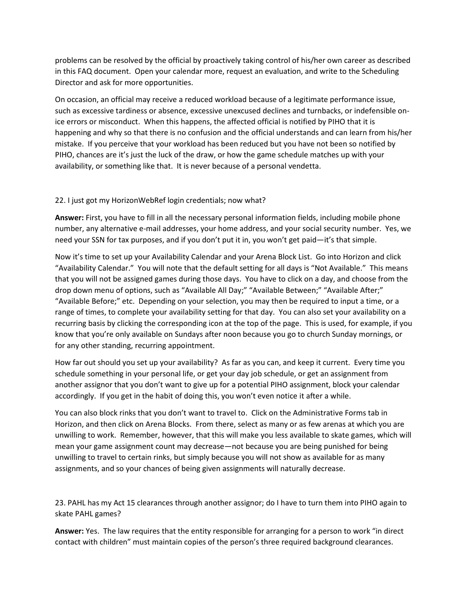problems can be resolved by the official by proactively taking control of his/her own career as described in this FAQ document. Open your calendar more, request an evaluation, and write to the Scheduling Director and ask for more opportunities.

On occasion, an official may receive a reduced workload because of a legitimate performance issue, such as excessive tardiness or absence, excessive unexcused declines and turnbacks, or indefensible onice errors or misconduct. When this happens, the affected official is notified by PIHO that it is happening and why so that there is no confusion and the official understands and can learn from his/her mistake. If you perceive that your workload has been reduced but you have not been so notified by PIHO, chances are it's just the luck of the draw, or how the game schedule matches up with your availability, or something like that. It is never because of a personal vendetta.

## 22. I just got my HorizonWebRef login credentials; now what?

**Answer:** First, you have to fill in all the necessary personal information fields, including mobile phone number, any alternative e-mail addresses, your home address, and your social security number. Yes, we need your SSN for tax purposes, and if you don't put it in, you won't get paid—it's that simple.

Now it's time to set up your Availability Calendar and your Arena Block List. Go into Horizon and click "Availability Calendar." You will note that the default setting for all days is "Not Available." This means that you will not be assigned games during those days. You have to click on a day, and choose from the drop down menu of options, such as "Available All Day;" "Available Between;" "Available After;" "Available Before;" etc. Depending on your selection, you may then be required to input a time, or a range of times, to complete your availability setting for that day. You can also set your availability on a recurring basis by clicking the corresponding icon at the top of the page. This is used, for example, if you know that you're only available on Sundays after noon because you go to church Sunday mornings, or for any other standing, recurring appointment.

How far out should you set up your availability? As far as you can, and keep it current. Every time you schedule something in your personal life, or get your day job schedule, or get an assignment from another assignor that you don't want to give up for a potential PIHO assignment, block your calendar accordingly. If you get in the habit of doing this, you won't even notice it after a while.

You can also block rinks that you don't want to travel to. Click on the Administrative Forms tab in Horizon, and then click on Arena Blocks. From there, select as many or as few arenas at which you are unwilling to work. Remember, however, that this will make you less available to skate games, which will mean your game assignment count may decrease—not because you are being punished for being unwilling to travel to certain rinks, but simply because you will not show as available for as many assignments, and so your chances of being given assignments will naturally decrease.

23. PAHL has my Act 15 clearances through another assignor; do I have to turn them into PIHO again to skate PAHL games?

**Answer:** Yes. The law requires that the entity responsible for arranging for a person to work "in direct contact with children" must maintain copies of the person's three required background clearances.